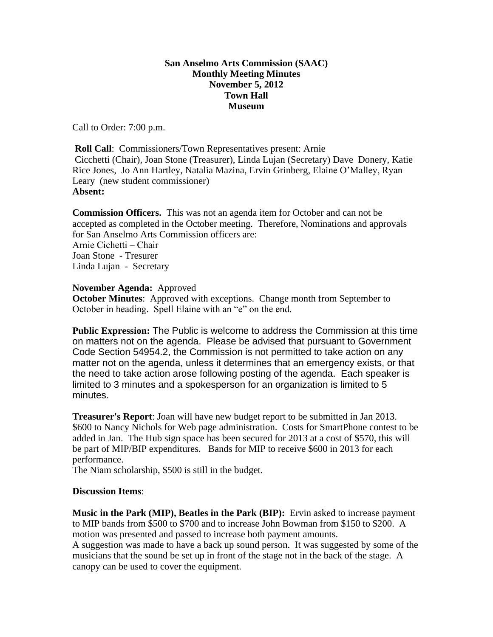## **San Anselmo Arts Commission (SAAC) Monthly Meeting Minutes November 5, 2012 Town Hall Museum**

Call to Order: 7:00 p.m.

**Roll Call:** Commissioners/Town Representatives present: Arnie Cicchetti (Chair), Joan Stone (Treasurer), Linda Lujan (Secretary) Dave Donery, Katie Rice Jones, Jo Ann Hartley, Natalia Mazina, Ervin Grinberg, Elaine O'Malley, Ryan Leary (new student commissioner) **Absent:**

**Commission Officers.** This was not an agenda item for October and can not be accepted as completed in the October meeting. Therefore, Nominations and approvals for San Anselmo Arts Commission officers are: Arnie Cichetti – Chair Joan Stone - Tresurer Linda Lujan - Secretary

## **November Agenda:** Approved

**October Minutes**: Approved with exceptions. Change month from September to October in heading. Spell Elaine with an "e" on the end.

**Public Expression:** The Public is welcome to address the Commission at this time on matters not on the agenda. Please be advised that pursuant to Government Code Section 54954.2, the Commission is not permitted to take action on any matter not on the agenda, unless it determines that an emergency exists, or that the need to take action arose following posting of the agenda. Each speaker is limited to 3 minutes and a spokesperson for an organization is limited to 5 minutes.

**Treasurer's Report**: Joan will have new budget report to be submitted in Jan 2013. \$600 to Nancy Nichols for Web page administration. Costs for SmartPhone contest to be added in Jan. The Hub sign space has been secured for 2013 at a cost of \$570, this will be part of MIP/BIP expenditures. Bands for MIP to receive \$600 in 2013 for each performance.

The Niam scholarship, \$500 is still in the budget.

## **Discussion Items**:

**Music in the Park (MIP), Beatles in the Park (BIP):** Ervin asked to increase payment to MIP bands from \$500 to \$700 and to increase John Bowman from \$150 to \$200. A motion was presented and passed to increase both payment amounts.

A suggestion was made to have a back up sound person. It was suggested by some of the musicians that the sound be set up in front of the stage not in the back of the stage. A canopy can be used to cover the equipment.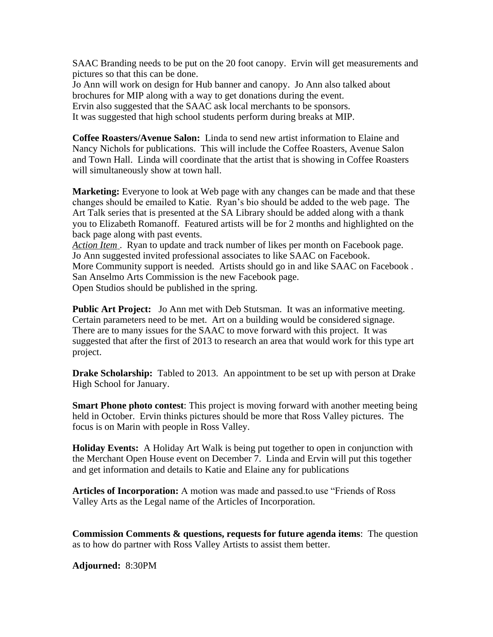SAAC Branding needs to be put on the 20 foot canopy. Ervin will get measurements and pictures so that this can be done.

Jo Ann will work on design for Hub banner and canopy. Jo Ann also talked about brochures for MIP along with a way to get donations during the event. Ervin also suggested that the SAAC ask local merchants to be sponsors. It was suggested that high school students perform during breaks at MIP.

**Coffee Roasters/Avenue Salon:** Linda to send new artist information to Elaine and Nancy Nichols for publications. This will include the Coffee Roasters, Avenue Salon and Town Hall. Linda will coordinate that the artist that is showing in Coffee Roasters will simultaneously show at town hall.

**Marketing:** Everyone to look at Web page with any changes can be made and that these changes should be emailed to Katie. Ryan's bio should be added to the web page. The Art Talk series that is presented at the SA Library should be added along with a thank you to Elizabeth Romanoff. Featured artists will be for 2 months and highlighted on the back page along with past events.

*Action Item* . Ryan to update and track number of likes per month on Facebook page. Jo Ann suggested invited professional associates to like SAAC on Facebook. More Community support is needed. Artists should go in and like SAAC on Facebook . San Anselmo Arts Commission is the new Facebook page. Open Studios should be published in the spring.

**Public Art Project:** Jo Ann met with Deb Stutsman. It was an informative meeting. Certain parameters need to be met. Art on a building would be considered signage. There are to many issues for the SAAC to move forward with this project. It was suggested that after the first of 2013 to research an area that would work for this type art project.

**Drake Scholarship:** Tabled to 2013. An appointment to be set up with person at Drake High School for January.

**Smart Phone photo contest**: This project is moving forward with another meeting being held in October. Ervin thinks pictures should be more that Ross Valley pictures. The focus is on Marin with people in Ross Valley.

**Holiday Events:** A Holiday Art Walk is being put together to open in conjunction with the Merchant Open House event on December 7. Linda and Ervin will put this together and get information and details to Katie and Elaine any for publications

**Articles of Incorporation:** A motion was made and passed.to use "Friends of Ross Valley Arts as the Legal name of the Articles of Incorporation.

**Commission Comments & questions, requests for future agenda items**: The question as to how do partner with Ross Valley Artists to assist them better.

**Adjourned:** 8:30PM